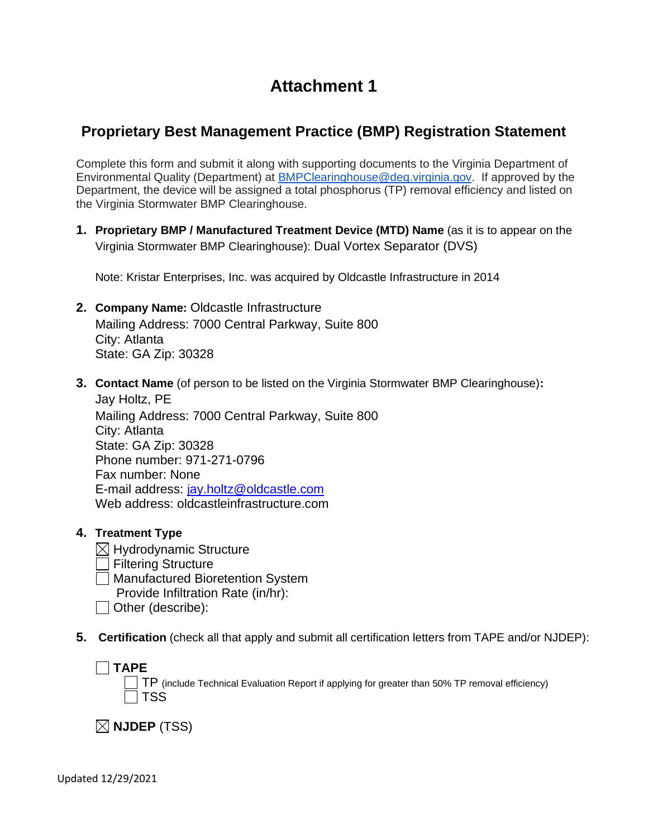# **Attachment 1**

# **Proprietary Best Management Practice (BMP) Registration Statement**

Complete this form and submit it along with supporting documents to the Virginia Department of Environmental Quality (Department) at [BMPClearinghouse@deq.virginia.gov.](mailto:BMPClearinghouse@deq.virginia.gov) If approved by the Department, the device will be assigned a total phosphorus (TP) removal efficiency and listed on the Virginia Stormwater BMP Clearinghouse.

**1. Proprietary BMP / Manufactured Treatment Device (MTD) Name** (as it is to appear on the Virginia Stormwater BMP Clearinghouse): Dual Vortex Separator (DVS)

Note: Kristar Enterprises, Inc. was acquired by Oldcastle Infrastructure in 2014

- **2. Company Name:** Oldcastle Infrastructure Mailing Address: 7000 Central Parkway, Suite 800 City: Atlanta State: GA Zip: 30328
- **3. Contact Name** (of person to be listed on the Virginia Stormwater BMP Clearinghouse)**:** Jay Holtz, PE

Mailing Address: 7000 Central Parkway, Suite 800 City: Atlanta State: GA Zip: 30328 Phone number: 971-271-0796 Fax number: None E-mail address: [jay.holtz@oldcastle.com](mailto:jay.holtz@oldcastle.com) Web address: oldcastleinfrastructure.com

- **4. Treatment Type**
	- $\boxtimes$  Hydrodynamic Structure **Filtering Structure Manufactured Bioretention System** Provide Infiltration Rate (in/hr):
	- $\Box$  Other (describe):
- **5. Certification** (check all that apply and submit all certification letters from TAPE and/or NJDEP):

**TAPE** 

TP (include Technical Evaluation Report if applying for greater than 50% TP removal efficiency)  $\sqcap$  TSS

**NJDEP** (TSS)